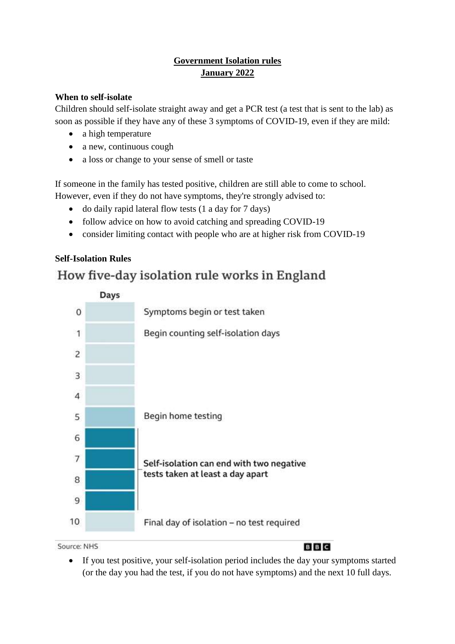## **Government Isolation rules January 2022**

### **When to self-isolate**

Children should self-isolate straight away and get a PCR test (a test that is sent to the lab) as soon as possible if they have any of these 3 symptoms of COVID-19, even if they are mild:

- a high temperature
- a new, continuous cough
- a loss or change to your sense of smell or taste

If someone in the family has tested positive, children are still able to come to school. However, even if they do not have symptoms, they're strongly advised to:

- do daily rapid lateral flow tests (1 a day for 7 days)
- follow advice on how to avoid catching and spreading COVID-19
- consider limiting contact with people who are at higher risk from COVID-19

## **Self-Isolation Rules**

# How five-day isolation rule works in England



Source: NHS

**BBC** 

 If you test positive, your self-isolation period includes the day your symptoms started (or the day you had the test, if you do not have symptoms) and the next 10 full days.